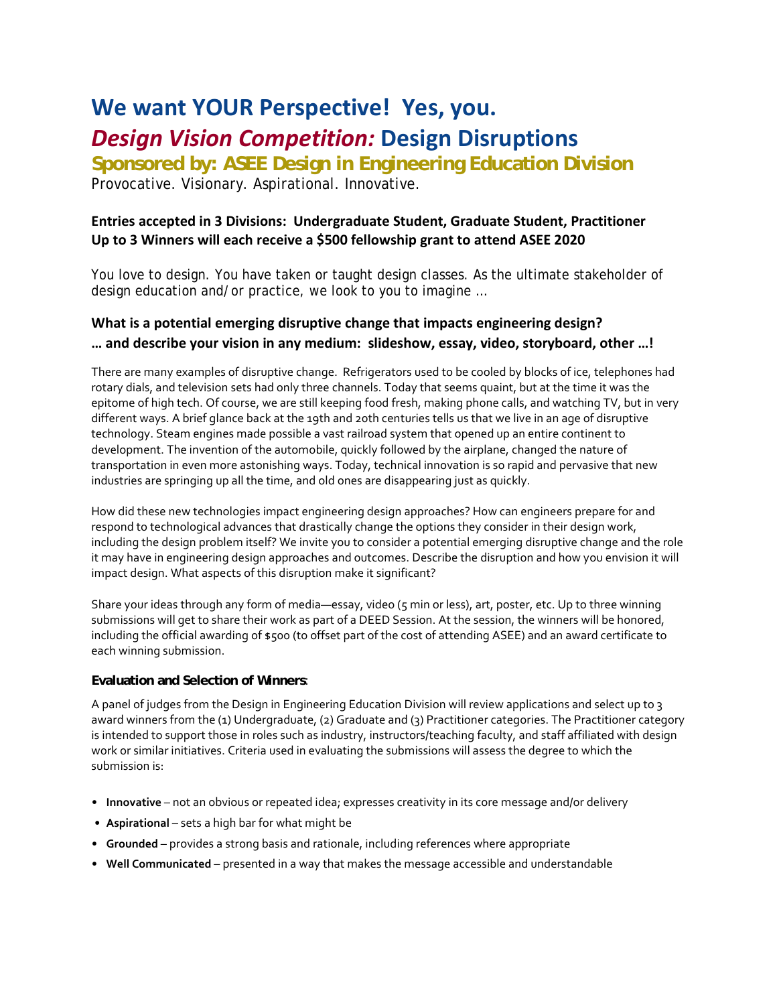# **We want YOUR Perspective! Yes, you.** *Design Vision Competition:* **Design Disruptions**

**Sponsored by: ASEE Design in Engineering Education Division** Provocative. Visionary. Aspirational. Innovative.

# **Entries accepted in 3 Divisions: Undergraduate Student, Graduate Student, Practitioner Up to 3 Winners will each receive a \$500 fellowship grant to attend ASEE 2020**

You love to design. You have taken or taught design classes. As the ultimate stakeholder of design education and/or practice, we look to you to imagine …

# **What is a potential emerging disruptive change that impacts engineering design? … and describe your vision in any medium: slideshow, essay, video, storyboard, other …!**

There are many examples of disruptive change. Refrigerators used to be cooled by blocks of ice, telephones had rotary dials, and television sets had only three channels. Today that seems quaint, but at the time it was the epitome of high tech. Of course, we are still keeping food fresh, making phone calls, and watching TV, but in very different ways. A brief glance back at the 19th and 20th centuries tells us that we live in an age of disruptive technology. Steam engines made possible a vast railroad system that opened up an entire continent to development. The invention of the automobile, quickly followed by the airplane, changed the nature of transportation in even more astonishing ways. Today, technical innovation is so rapid and pervasive that new industries are springing up all the time, and old ones are disappearing just as quickly.

How did these new technologies impact engineering design approaches? How can engineers prepare for and respond to technological advances that drastically change the options they consider in their design work, including the design problem itself? We invite you to consider a potential emerging disruptive change and the role it may have in engineering design approaches and outcomes. Describe the disruption and how you envision it will impact design. What aspects of this disruption make it significant?

Share your ideas through any form of media—essay, video (5 min or less), art, poster, etc. Up to three winning submissions will get to share their work as part of a DEED Session. At the session, the winners will be honored, including the official awarding of \$500 (to offset part of the cost of attending ASEE) and an award certificate to each winning submission.

## **Evaluation and Selection of Winners**:

A panel of judges from the Design in Engineering Education Division will review applications and select up to 3 award winners from the (1) Undergraduate, (2) Graduate and (3) Practitioner categories. The Practitioner category is intended to support those in roles such as industry, instructors/teaching faculty, and staff affiliated with design work or similar initiatives. Criteria used in evaluating the submissions will assess the degree to which the submission is:

- **Innovative** not an obvious or repeated idea; expresses creativity in its core message and/or delivery
- **Aspirational** sets a high bar for what might be
- **Grounded** provides a strong basis and rationale, including references where appropriate
- **Well Communicated** presented in a way that makes the message accessible and understandable